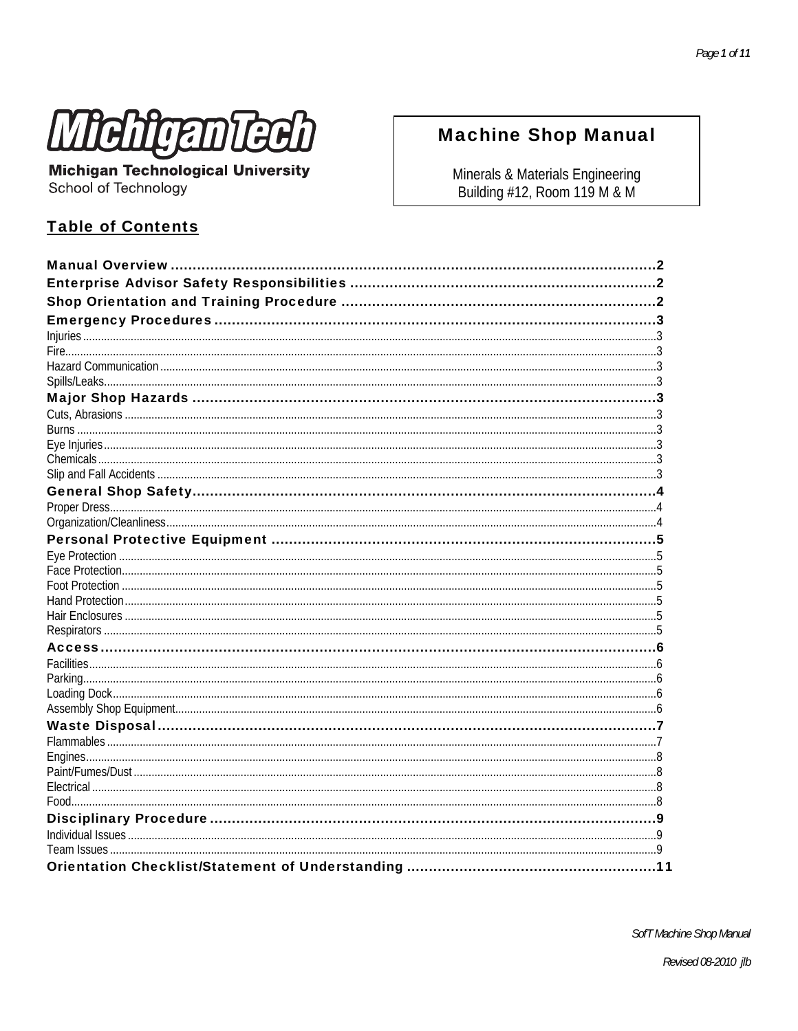

**Michigan Technological University** School of Technology

# **Machine Shop Manual**

Minerals & Materials Engineering Building #12, Room 119 M & M

## **Table of Contents**

SofT Machine Shop Manual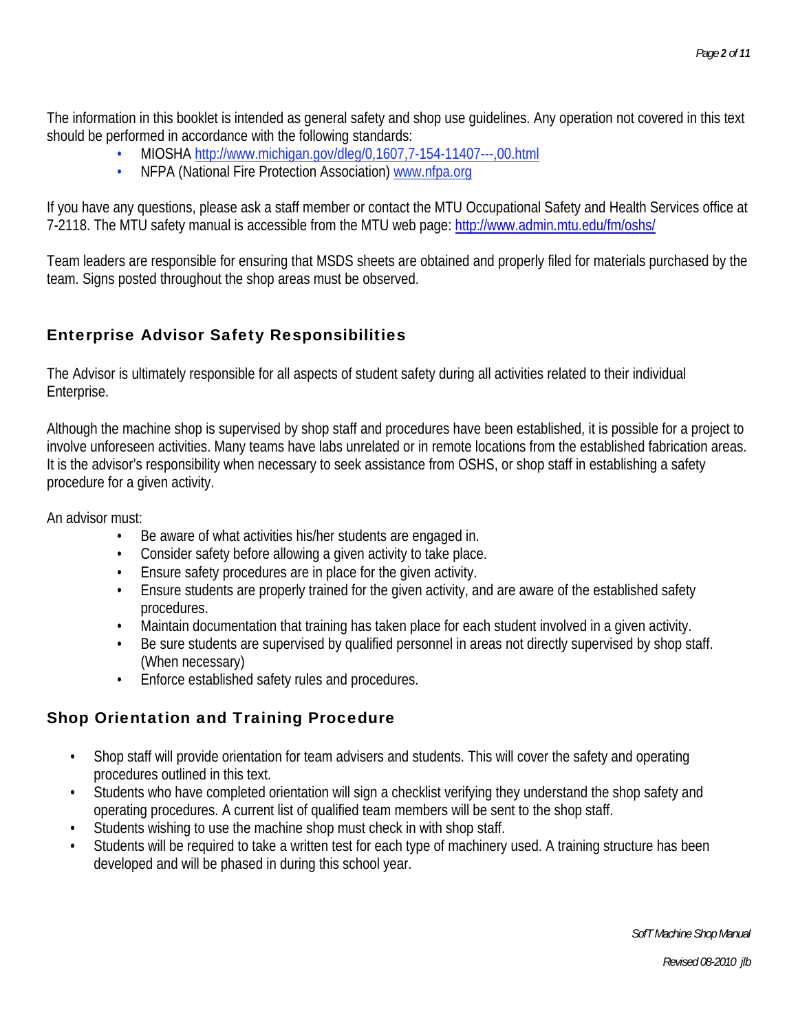The information in this booklet is intended as general safety and shop use guidelines. Any operation not covered in this text should be performed in accordance with the following standards:

- MIOSHA <http://www.michigan.gov/dleg/0,1607,7-154-11407---,00.html>
- NFPA (National Fire Protection Association)<www.nfpa.org>

If you have any questions, please ask a staff member or contact the MTU Occupational Safety and Health Services office at 7-2118. The MTU safety manual is accessible from the MTU web page:<http://www.admin.mtu.edu/fm/oshs>/

Team leaders are responsible for ensuring that MSDS sheets are obtained and properly filed for materials purchased by the team. Signs posted throughout the shop areas must be observed.

## Enterprise Advisor Safety Responsibilities

The Advisor is ultimately responsible for all aspects of student safety during all activities related to their individual Enterprise.

Although the machine shop is supervised by shop staff and procedures have been established, it is possible for a project to involve unforeseen activities. Many teams have labs unrelated or in remote locations from the established fabrication areas. It is the advisor's responsibility when necessary to seek assistance from OSHS, or shop staff in establishing a safety procedure for a given activity.

An advisor must:

- Be aware of what activities his/her students are engaged in.
- Consider safety before allowing a given activity to take place.
- Ensure safety procedures are in place for the given activity.
- Ensure students are properly trained for the given activity, and are aware of the established safety procedures.
- Maintain documentation that training has taken place for each student involved in a given activity.
- Be sure students are supervised by qualified personnel in areas not directly supervised by shop staff. (When necessary)
- Enforce established safety rules and procedures.

## Shop Orientation and Training Procedure

- Shop staff will provide orientation for team advisers and students. This will cover the safety and operating procedures outlined in this text.
- Students who have completed orientation will sign a checklist verifying they understand the shop safety and operating procedures. A current list of qualified team members will be sent to the shop staff.
- Students wishing to use the machine shop must check in with shop staff.
- Students will be required to take a written test for each type of machinery used. A training structure has been developed and will be phased in during this school year.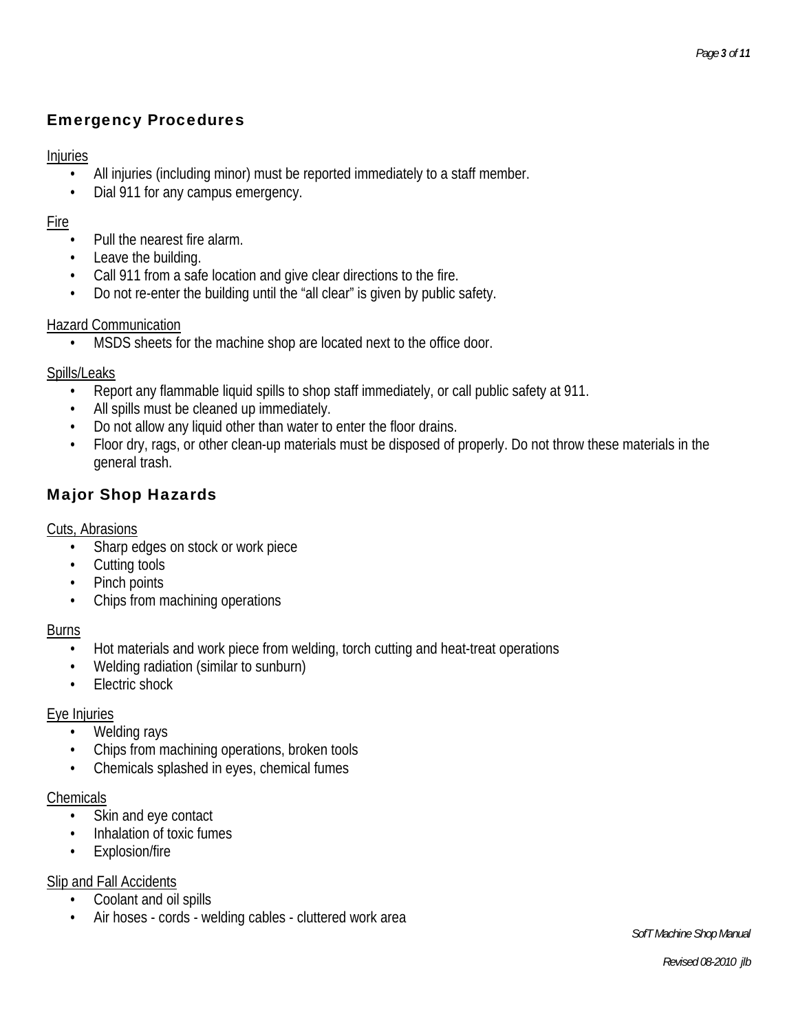## Emergency Procedures

#### Injuries

- All injuries (including minor) must be reported immediately to a staff member.
- Dial 911 for any campus emergency.

### Fire

- Pull the nearest fire alarm.
- Leave the building.
- Call 911 from a safe location and give clear directions to the fire.
- Do not re-enter the building until the "all clear" is given by public safety.

#### Hazard Communication

• MSDS sheets for the machine shop are located next to the office door.

#### Spills/Leaks

- Report any flammable liquid spills to shop staff immediately, or call public safety at 911.
- All spills must be cleaned up immediately.
- Do not allow any liquid other than water to enter the floor drains.
- Floor dry, rags, or other clean-up materials must be disposed of properly. Do not throw these materials in the general trash.

## Major Shop Hazards

#### Cuts, Abrasions

- Sharp edges on stock or work piece
- Cutting tools
- Pinch points
- Chips from machining operations

#### Burns

- Hot materials and work piece from welding, torch cutting and heat-treat operations
- Welding radiation (similar to sunburn)
- Electric shock<br>Eye Injuries

- Welding rays
- Chips from machining operations, broken tools
- Chemicals splashed in eyes, chemical fumes

#### Chemicals

- Skin and eye contact
- Inhalation of toxic fumes
- Explosion/fire

### Slip and Fall Accidents

- Coolant and oil spills
- Air hoses cords welding cables cluttered work area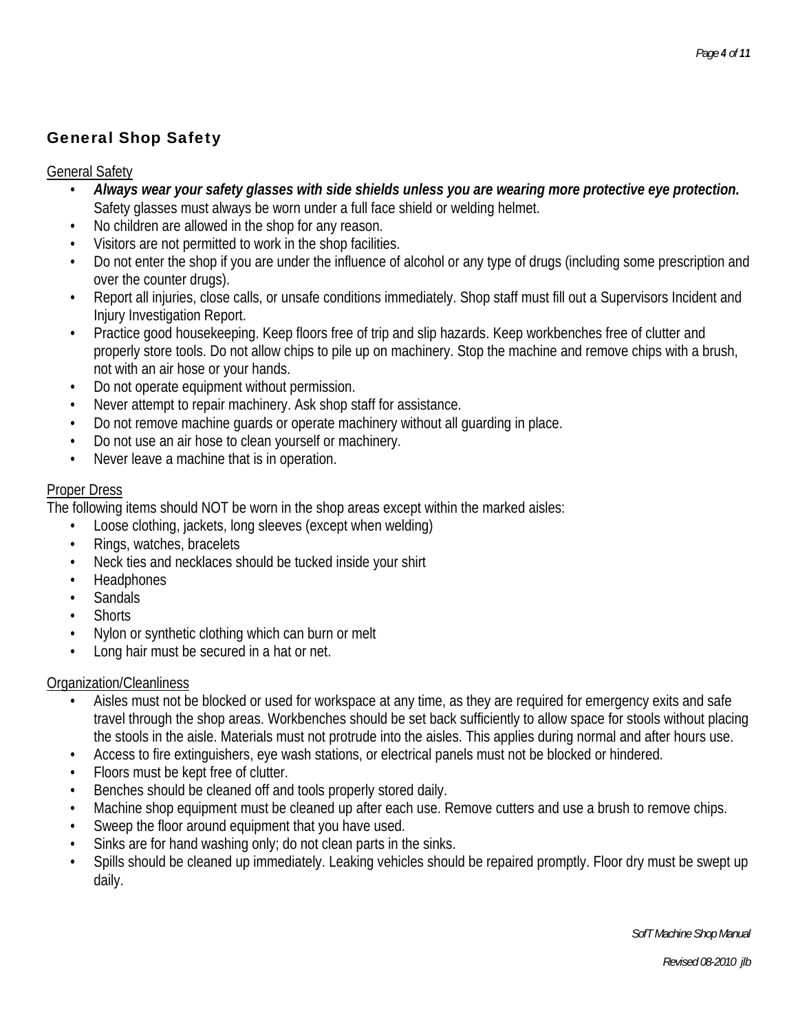## General Shop Safety

#### General Safety

- *Always wear your safety glasses with side shields unless you are wearing more protective eye protection.*  Safety glasses must always be worn under a full face shield or welding helmet.
- No children are allowed in the shop for any reason.
- Visitors are not permitted to work in the shop facilities.
- Do not enter the shop if you are under the influence of alcohol or any type of drugs (including some prescription and over the counter drugs).
- Report all injuries, close calls, or unsafe conditions immediately. Shop staff must fill out a Supervisors Incident and Injury Investigation Report.
- Practice good housekeeping. Keep floors free of trip and slip hazards. Keep workbenches free of clutter and properly store tools. Do not allow chips to pile up on machinery. Stop the machine and remove chips with a brush, not with an air hose or your hands.
- Do not operate equipment without permission.
- Never attempt to repair machinery. Ask shop staff for assistance.
- Do not remove machine guards or operate machinery without all guarding in place.
- Do not use an air hose to clean yourself or machinery.
- Never leave a machine that is in operation.

#### Proper Dress

The following items should NOT be worn in the shop areas except within the marked aisles:

- Loose clothing, jackets, long sleeves (except when welding)
- Rings, watches, bracelets
- Neck ties and necklaces should be tucked inside your shirt
- Headphones
- Sandals
- Shorts
- Nylon or synthetic clothing which can burn or melt
- Long hair must be secured in a hat or net.

#### Organization/Cleanliness

- Aisles must not be blocked or used for workspace at any time, as they are required for emergency exits and safe travel through the shop areas. Workbenches should be set back sufficiently to allow space for stools without placing the stools in the aisle. Materials must not protrude into the aisles. This applies during normal and after hours use.
- Access to fire extinguishers, eye wash stations, or electrical panels must not be blocked or hindered.
- Floors must be kept free of clutter.
- Benches should be cleaned off and tools properly stored daily.
- Machine shop equipment must be cleaned up after each use. Remove cutters and use a brush to remove chips.
- Sweep the floor around equipment that you have used.
- Sinks are for hand washing only; do not clean parts in the sinks.
- Spills should be cleaned up immediately. Leaking vehicles should be repaired promptly. Floor dry must be swept up daily.

*SofT Machine Shop Manual*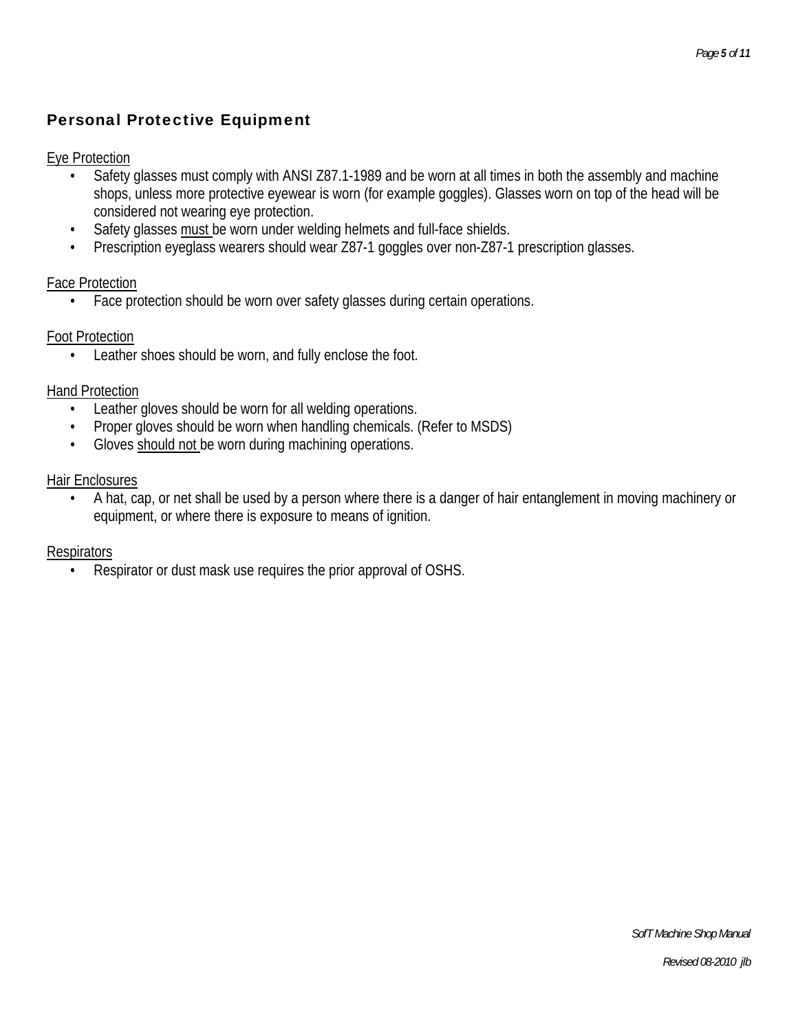## Personal Protective Equipment

#### Eye Protection

- Safety glasses must comply with ANSI Z87.1-1989 and be worn at all times in both the assembly and machine shops, unless more protective eyewear is worn (for example goggles). Glasses worn on top of the head will be considered not wearing eye protection.
- Safety glasses must be worn under welding helmets and full-face shields.
- Prescription eyeglass wearers should wear Z87-1 goggles over non-Z87-1 prescription glasses.<br>Face Protection

• Face protection should be worn over safety glasses during certain operations.

#### Foot Protection

Leather shoes should be worn, and fully enclose the foot.

#### Hand Protection

- Leather gloves should be worn for all welding operations.
- Proper gloves should be worn when handling chemicals. (Refer to MSDS)
- Gloves should not be worn during machining operations.

#### Hair Enclosures

• A hat, cap, or net shall be used by a person where there is a danger of hair entanglement in moving machinery or equipment, or where there is exposure to means of ignition.

#### Respirators

• Respirator or dust mask use requires the prior approval of OSHS.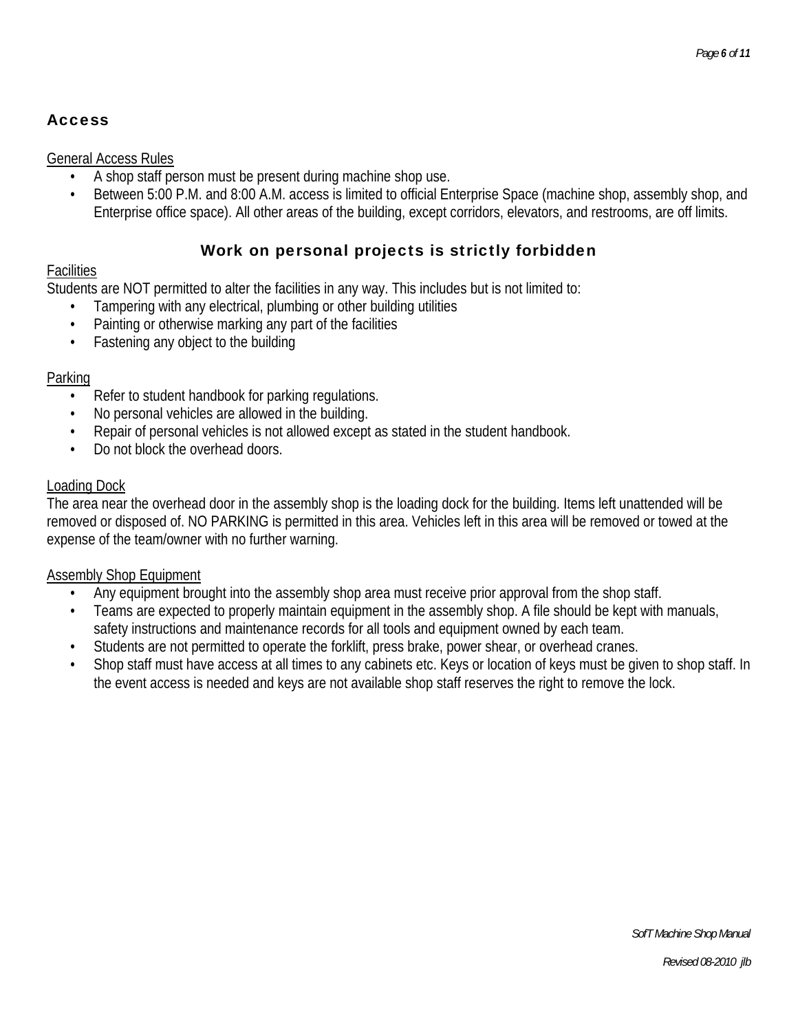## Access

General Access Rules

- A shop staff person must be present during machine shop use.
- Between 5:00 P.M. and 8:00 A.M. access is limited to official Enterprise Space (machine shop, assembly shop, and Enterprise office space). All other areas of the building, except corridors, elevators, and restrooms, are off limits.

## Work on personal projects is strictly forbidden

#### **Facilities**

Students are NOT permitted to alter the facilities in any way. This includes but is not limited to:

- Tampering with any electrical, plumbing or other building utilities
- Painting or otherwise marking any part of the facilities
- Fastening any object to the building

#### Parking

- Refer to student handbook for parking regulations.
- No personal vehicles are allowed in the building.
- Repair of personal vehicles is not allowed except as stated in the student handbook.
- Do not block the overhead doors.

#### Loading Dock

The area near the overhead door in the assembly shop is the loading dock for the building. Items left unattended will be removed or disposed of. NO PARKING is permitted in this area. Vehicles left in this area will be removed or towed at the expense of the team/owner with no further warning.

#### Assembly Shop Equipment

- Any equipment brought into the assembly shop area must receive prior approval from the shop staff.
- Teams are expected to properly maintain equipment in the assembly shop. A file should be kept with manuals, safety instructions and maintenance records for all tools and equipment owned by each team.
- Students are not permitted to operate the forklift, press brake, power shear, or overhead cranes.
- Shop staff must have access at all times to any cabinets etc. Keys or location of keys must be given to shop staff. In the event access is needed and keys are not available shop staff reserves the right to remove the lock.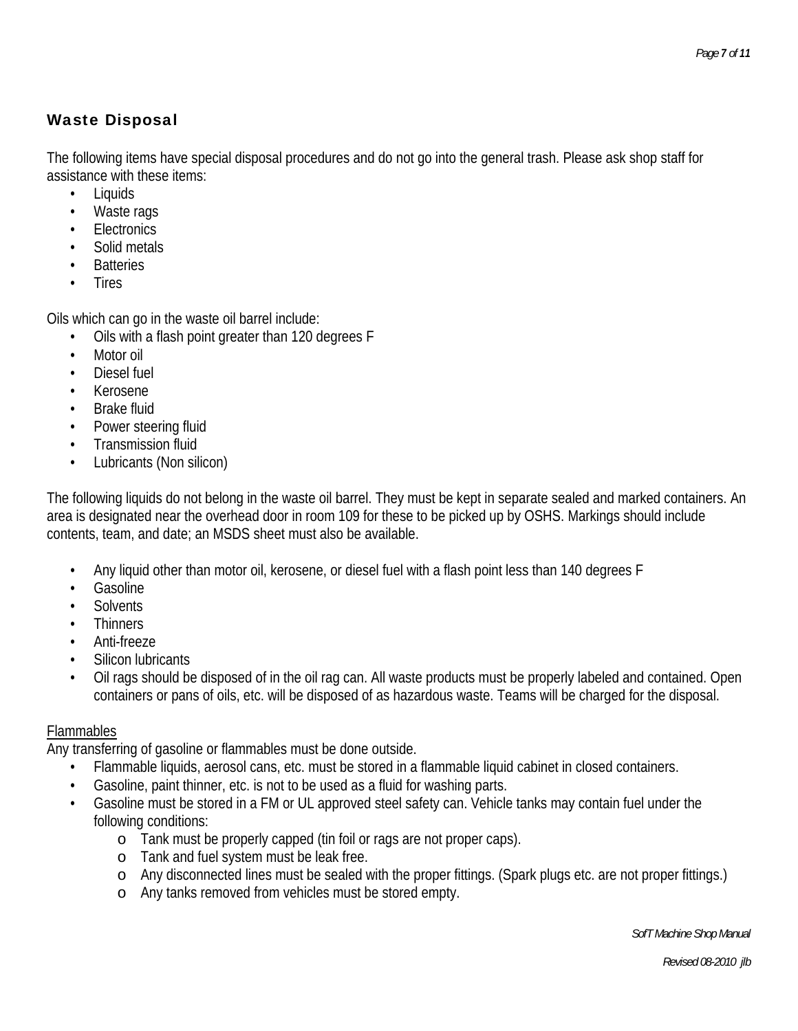## Waste Disposal

The following items have special disposal procedures and do not go into the general trash. Please ask shop staff for assistance with these items:

- Liquids
- Waste rags
- **Electronics**
- Solid metals
- **Batteries**
- **Tires**

Oils which can go in the waste oil barrel include:

- Oils with a flash point greater than 120 degrees F
- Motor oil
- Diesel fuel
- Kerosene
- Brake fluid
- Power steering fluid
- Transmission fluid
- Lubricants (Non silicon)

The following liquids do not belong in the waste oil barrel. They must be kept in separate sealed and marked containers. An area is designated near the overhead door in room 109 for these to be picked up by OSHS. Markings should include contents, team, and date; an MSDS sheet must also be available.

- Any liquid other than motor oil, kerosene, or diesel fuel with a flash point less than 140 degrees F
- Gasoline
- **Solvents**
- **Thinners**
- Anti-freeze
- Silicon lubricants
- Oil rags should be disposed of in the oil rag can. All waste products must be properly labeled and contained. Open containers or pans of oils, etc. will be disposed of as hazardous waste. Teams will be charged for the disposal.

#### Flammables

Any transferring of gasoline or flammables must be done outside.

- Flammable liquids, aerosol cans, etc. must be stored in a flammable liquid cabinet in closed containers.
- Gasoline, paint thinner, etc. is not to be used as a fluid for washing parts.
- Gasoline must be stored in a FM or UL approved steel safety can. Vehicle tanks may contain fuel under the following conditions:
	- o Tank must be properly capped (tin foil or rags are not proper caps).
	- o Tank and fuel system must be leak free.
	- o Any disconnected lines must be sealed with the proper fittings. (Spark plugs etc. are not proper fittings.)
	- o Any tanks removed from vehicles must be stored empty.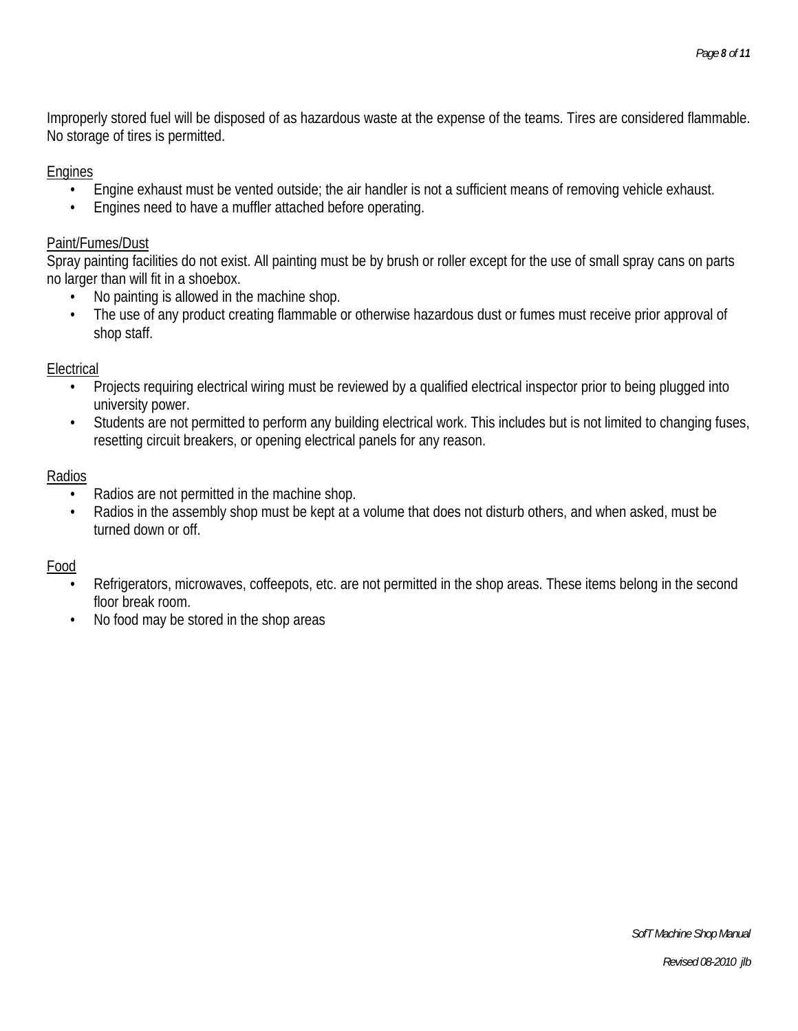Improperly stored fuel will be disposed of as hazardous waste at the expense of the teams. Tires are considered flammable. No storage of tires is permitted.

#### Engines

- Engine exhaust must be vented outside; the air handler is not a sufficient means of removing vehicle exhaust.
- Engines need to have a muffler attached before operating.

#### Paint/Fumes/Dust

Spray painting facilities do not exist. All painting must be by brush or roller except for the use of small spray cans on parts no larger than will fit in a shoebox.

- No painting is allowed in the machine shop.
- The use of any product creating flammable or otherwise hazardous dust or fumes must receive prior approval of shop staff.

#### **Electrical**

- Projects requiring electrical wiring must be reviewed by a qualified electrical inspector prior to being plugged into university power.
- Students are not permitted to perform any building electrical work. This includes but is not limited to changing fuses, resetting circuit breakers, or opening electrical panels for any reason.

#### Radios

- Radios are not permitted in the machine shop.
- Radios in the assembly shop must be kept at a volume that does not disturb others, and when asked, must be turned down or off.

#### Food

- Refrigerators, microwaves, coffeepots, etc. are not permitted in the shop areas. These items belong in the second floor break room.
- No food may be stored in the shop areas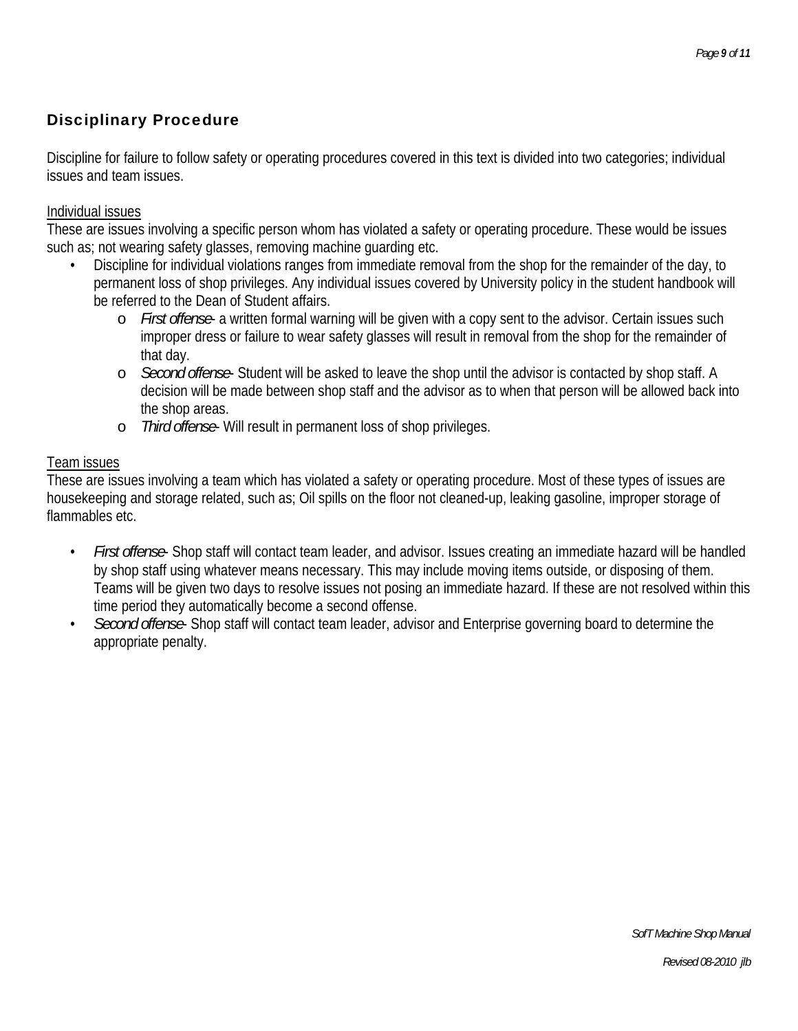## Disciplinary Procedure

Discipline for failure to follow safety or operating procedures covered in this text is divided into two categories; individual issues and team issues.

#### Individual issues

These are issues involving a specific person whom has violated a safety or operating procedure. These would be issues such as; not wearing safety glasses, removing machine guarding etc.

- Discipline for individual violations ranges from immediate removal from the shop for the remainder of the day, to permanent loss of shop privileges. Any individual issues covered by University policy in the student handbook will be referred to the Dean of Student affairs.
	- o *First offense* a written formal warning will be given with a copy sent to the advisor. Certain issues such improper dress or failure to wear safety glasses will result in removal from the shop for the remainder of that day.
	- o *Second offense* Student will be asked to leave the shop until the advisor is contacted by shop staff. A decision will be made between shop staff and the advisor as to when that person will be allowed back into the shop areas.
	- o *Third offense* Will result in permanent loss of shop privileges.

#### Team issues

These are issues involving a team which has violated a safety or operating procedure. Most of these types of issues are housekeeping and storage related, such as; Oil spills on the floor not cleaned-up, leaking gasoline, improper storage of flammables etc.

- *First offense* Shop staff will contact team leader, and advisor. Issues creating an immediate hazard will be handled by shop staff using whatever means necessary. This may include moving items outside, or disposing of them. Teams will be given two days to resolve issues not posing an immediate hazard. If these are not resolved within this time period they automatically become a second offense.
- *Second offense* Shop staff will contact team leader, advisor and Enterprise governing board to determine the appropriate penalty.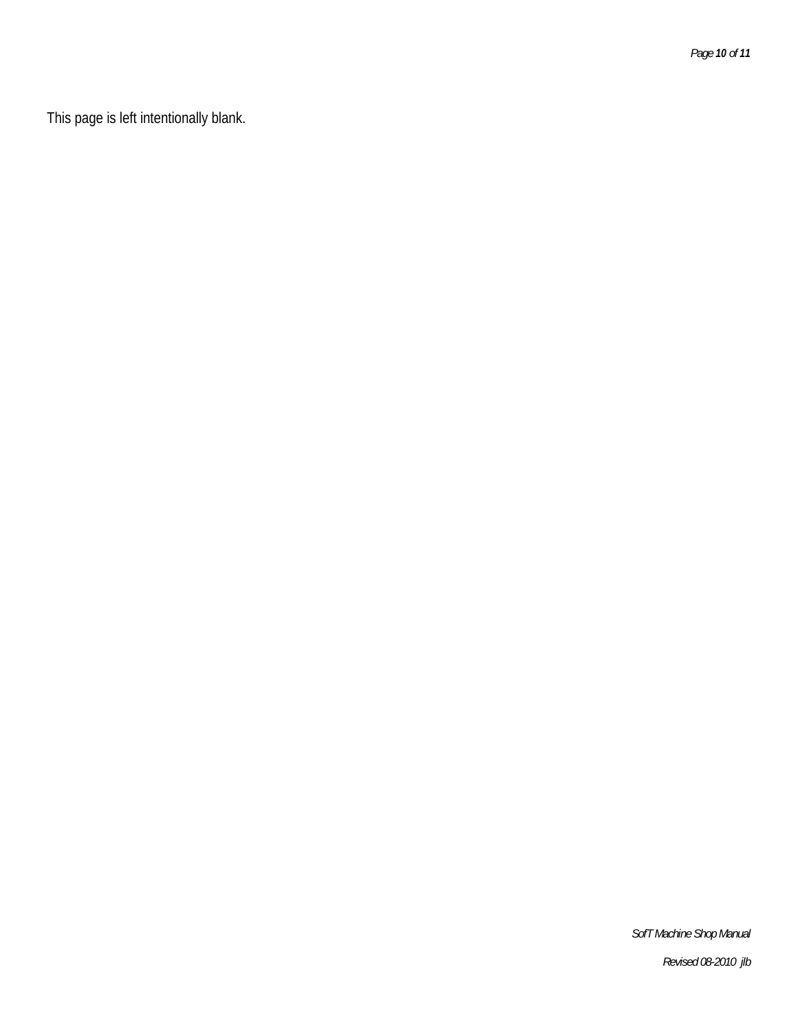This page is left intentionally blank.